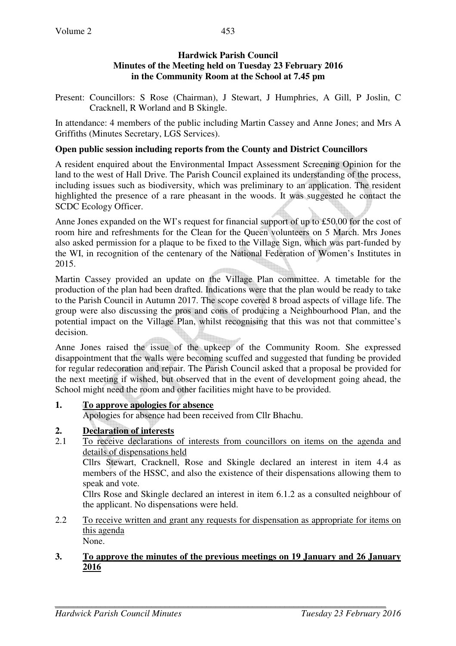## **Hardwick Parish Council Minutes of the Meeting held on Tuesday 23 February 2016 in the Community Room at the School at 7.45 pm**

Present: Councillors: S Rose (Chairman), J Stewart, J Humphries, A Gill, P Joslin, C Cracknell, R Worland and B Skingle.

In attendance: 4 members of the public including Martin Cassey and Anne Jones; and Mrs A Griffiths (Minutes Secretary, LGS Services).

## **Open public session including reports from the County and District Councillors**

A resident enquired about the Environmental Impact Assessment Screening Opinion for the land to the west of Hall Drive. The Parish Council explained its understanding of the process, including issues such as biodiversity, which was preliminary to an application. The resident highlighted the presence of a rare pheasant in the woods. It was suggested he contact the SCDC Ecology Officer.

Anne Jones expanded on the WI's request for financial support of up to £50.00 for the cost of room hire and refreshments for the Clean for the Queen volunteers on 5 March. Mrs Jones also asked permission for a plaque to be fixed to the Village Sign, which was part-funded by the WI, in recognition of the centenary of the National Federation of Women's Institutes in 2015.

Martin Cassey provided an update on the Village Plan committee. A timetable for the production of the plan had been drafted. Indications were that the plan would be ready to take to the Parish Council in Autumn 2017. The scope covered 8 broad aspects of village life. The group were also discussing the pros and cons of producing a Neighbourhood Plan, and the potential impact on the Village Plan, whilst recognising that this was not that committee's decision.

Anne Jones raised the issue of the upkeep of the Community Room. She expressed disappointment that the walls were becoming scuffed and suggested that funding be provided for regular redecoration and repair. The Parish Council asked that a proposal be provided for the next meeting if wished, but observed that in the event of development going ahead, the School might need the room and other facilities might have to be provided.

## **1. To approve apologies for absence**

Apologies for absence had been received from Cllr Bhachu.

## **2. Declaration of interests**

2.1 To receive declarations of interests from councillors on items on the agenda and details of dispensations held

Cllrs Stewart, Cracknell, Rose and Skingle declared an interest in item 4.4 as members of the HSSC, and also the existence of their dispensations allowing them to speak and vote.

Cllrs Rose and Skingle declared an interest in item 6.1.2 as a consulted neighbour of the applicant. No dispensations were held.

2.2 To receive written and grant any requests for dispensation as appropriate for items on this agenda None.

#### **3. To approve the minutes of the previous meetings on 19 January and 26 January 2016**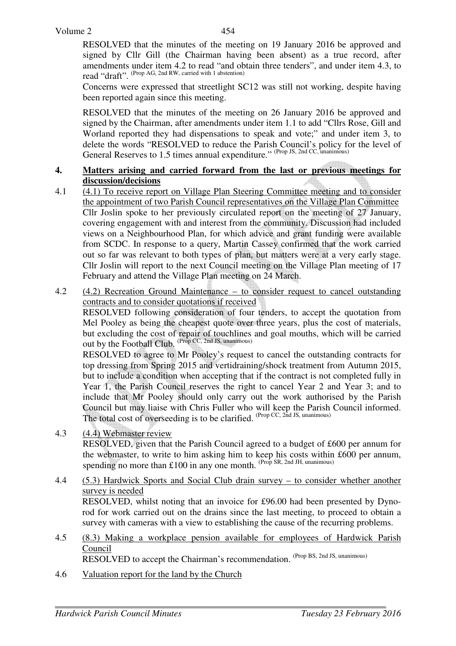RESOLVED that the minutes of the meeting on 19 January 2016 be approved and signed by Cllr Gill (the Chairman having been absent) as a true record, after amendments under item 4.2 to read "and obtain three tenders", and under item 4.3, to read "draft". (Prop AG, 2nd RW, carried with 1 abstention)

Concerns were expressed that streetlight SC12 was still not working, despite having been reported again since this meeting.

RESOLVED that the minutes of the meeting on 26 January 2016 be approved and signed by the Chairman, after amendments under item 1.1 to add "Cllrs Rose, Gill and Worland reported they had dispensations to speak and vote;" and under item 3, to delete the words "RESOLVED to reduce the Parish Council's policy for the level of General Reserves to 1.5 times annual expenditure." (Prop JS, 2nd CC, unanimous)

#### **4. Matters arising and carried forward from the last or previous meetings for discussion/decisions**

- 4.1 (4.1) To receive report on Village Plan Steering Committee meeting and to consider the appointment of two Parish Council representatives on the Village Plan Committee Cllr Joslin spoke to her previously circulated report on the meeting of 27 January, covering engagement with and interest from the community. Discussion had included views on a Neighbourhood Plan, for which advice and grant funding were available from SCDC. In response to a query, Martin Cassey confirmed that the work carried out so far was relevant to both types of plan, but matters were at a very early stage. Cllr Joslin will report to the next Council meeting on the Village Plan meeting of 17 February and attend the Village Plan meeting on 24 March.
- 4.2 (4.2) Recreation Ground Maintenance to consider request to cancel outstanding contracts and to consider quotations if received

RESOLVED following consideration of four tenders, to accept the quotation from Mel Pooley as being the cheapest quote over three years, plus the cost of materials, but excluding the cost of repair of touchlines and goal mouths, which will be carried out by the Football Club.  $^{(Prop\,CC,\,2nd\,JS,\,unanimous)}$ 

RESOLVED to agree to Mr Pooley's request to cancel the outstanding contracts for top dressing from Spring 2015 and vertidraining/shock treatment from Autumn 2015, but to include a condition when accepting that if the contract is not completed fully in Year 1, the Parish Council reserves the right to cancel Year 2 and Year 3; and to include that Mr Pooley should only carry out the work authorised by the Parish Council but may liaise with Chris Fuller who will keep the Parish Council informed. The total cost of overseeding is to be clarified. (Prop CC, 2nd JS, unanimous)

- 4.3 (4.4) Webmaster review RESOLVED, given that the Parish Council agreed to a budget of £600 per annum for the webmaster, to write to him asking him to keep his costs within £600 per annum, spending no more than £100 in any one month.  $(Prop SR, 2nd JH, unanimous)$
- 4.4 (5.3) Hardwick Sports and Social Club drain survey to consider whether another survey is needed RESOLVED, whilst noting that an invoice for £96.00 had been presented by Dynorod for work carried out on the drains since the last meeting, to proceed to obtain a survey with cameras with a view to establishing the cause of the recurring problems.
- 4.5 (8.3) Making a workplace pension available for employees of Hardwick Parish Council RESOLVED to accept the Chairman's recommendation. (Prop BS, 2nd JS, unanimous)
- 4.6 Valuation report for the land by the Church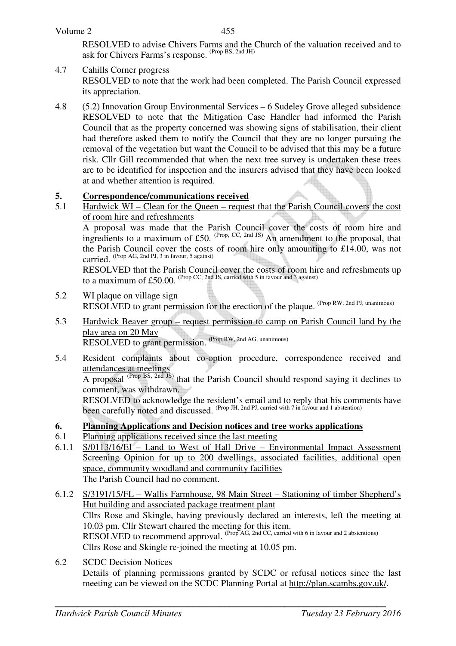#### Volume 2

 RESOLVED to advise Chivers Farms and the Church of the valuation received and to ask for Chivers Farms's response. (Prop BS, 2nd JH)

4.7 Cahills Corner progress

 RESOLVED to note that the work had been completed. The Parish Council expressed its appreciation.

4.8 (5.2) Innovation Group Environmental Services – 6 Sudeley Grove alleged subsidence RESOLVED to note that the Mitigation Case Handler had informed the Parish Council that as the property concerned was showing signs of stabilisation, their client had therefore asked them to notify the Council that they are no longer pursuing the removal of the vegetation but want the Council to be advised that this may be a future risk. Cllr Gill recommended that when the next tree survey is undertaken these trees are to be identified for inspection and the insurers advised that they have been looked at and whether attention is required.

# **5.** Correspondence/communications received<br>5.1 Hardwick WI – Clean for the Queen – reques

5.1 Hardwick WI – Clean for the Queen – request that the Parish Council covers the cost of room hire and refreshments

 A proposal was made that the Parish Council cover the costs of room hire and ingredients to a maximum of £50. (Prop, CC, 2nd JS) An amendment to the proposal, that the Parish Council cover the costs of room hire only amounting to £14.00, was not carried. (Prop AG, 2nd PJ, 3 in favour, 5 against)

RESOLVED that the Parish Council cover the costs of room hire and refreshments up to a maximum of  $£50.00$ . (Prop CC, 2nd JS, carried with 5 in favour and 3 against)

- 5.2 WI plaque on village sign RESOLVED to grant permission for the erection of the plaque. (Prop RW, 2nd PJ, unanimous)
- 5.3 Hardwick Beaver group request permission to camp on Parish Council land by the play area on 20 May RESOLVED to grant permission. (Prop RW, 2nd AG, unanimous)
- 5.4 Resident complaints about co-option procedure, correspondence received and attendances at meetings

A proposal (Prop BS, 2nd JS) that the Parish Council should respond saying it declines to comment, was withdrawn.

RESOLVED to acknowledge the resident's email and to reply that his comments have been carefully noted and discussed. (Prop JH, 2nd PJ, carried with 7 in favour and 1 abstention)

- **6. Planning Applications and Decision notices and tree works applications**
- 6.1 Planning applications received since the last meeting
- 6.1.1 S/0113/16/EI Land to West of Hall Drive Environmental Impact Assessment Screening Opinion for up to 200 dwellings, associated facilities, additional open space, community woodland and community facilities The Parish Council had no comment.
- 6.1.2 S/3191/15/FL Wallis Farmhouse, 98 Main Street Stationing of timber Shepherd's Hut building and associated package treatment plant Cllrs Rose and Skingle, having previously declared an interests, left the meeting at 10.03 pm. Cllr Stewart chaired the meeting for this item. RESOLVED to recommend approval. (Prop AG, 2nd CC, carried with 6 in favour and 2 abstentions) Cllrs Rose and Skingle re-joined the meeting at 10.05 pm.
- 6.2 SCDC Decision Notices Details of planning permissions granted by SCDC or refusal notices since the last meeting can be viewed on the SCDC Planning Portal at http://plan.scambs.gov.uk/.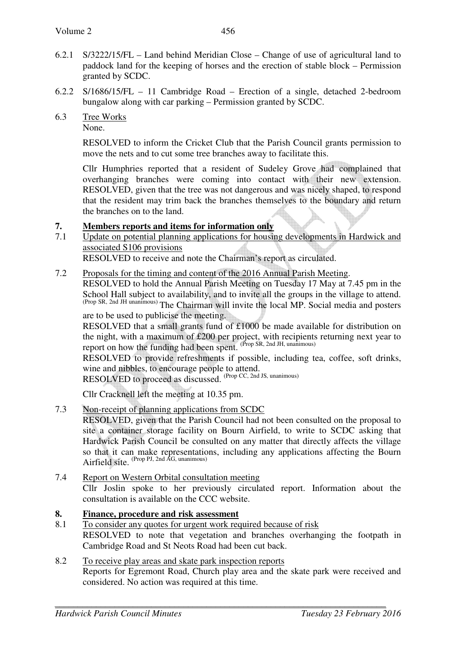- 6.2.1 S/3222/15/FL Land behind Meridian Close Change of use of agricultural land to paddock land for the keeping of horses and the erection of stable block – Permission granted by SCDC.
- 6.2.2 S/1686/15/FL 11 Cambridge Road Erection of a single, detached 2-bedroom bungalow along with car parking – Permission granted by SCDC.
- 6.3 Tree Works

None.

RESOLVED to inform the Cricket Club that the Parish Council grants permission to move the nets and to cut some tree branches away to facilitate this.

Cllr Humphries reported that a resident of Sudeley Grove had complained that overhanging branches were coming into contact with their new extension. RESOLVED, given that the tree was not dangerous and was nicely shaped, to respond that the resident may trim back the branches themselves to the boundary and return the branches on to the land.

# **7. Members reports and items for information only**

7.1 Update on potential planning applications for housing developments in Hardwick and associated S106 provisions

RESOLVED to receive and note the Chairman's report as circulated.

7.2 Proposals for the timing and content of the 2016 Annual Parish Meeting.

RESOLVED to hold the Annual Parish Meeting on Tuesday 17 May at 7.45 pm in the School Hall subject to availability, and to invite all the groups in the village to attend. (Prop SR, 2nd JH unanimous) The Chairman will invite the local MP. Social media and posters are to be used to publicise the meeting.

RESOLVED that a small grants fund of £1000 be made available for distribution on the night, with a maximum of £200 per project, with recipients returning next year to report on how the funding had been spent. (Prop SR, 2nd JH, unanimous)

RESOLVED to provide refreshments if possible, including tea, coffee, soft drinks, wine and nibbles, to encourage people to attend.

RESOLVED to proceed as discussed. (Prop CC, 2nd JS, unanimous)

Cllr Cracknell left the meeting at 10.35 pm.

7.3 Non-receipt of planning applications from SCDC

RESOLVED, given that the Parish Council had not been consulted on the proposal to site a container storage facility on Bourn Airfield, to write to SCDC asking that Hardwick Parish Council be consulted on any matter that directly affects the village so that it can make representations, including any applications affecting the Bourn Airfield site. <sup>(Prop PJ, 2nd AG, unanimous)</sup>

7.4 Report on Western Orbital consultation meeting Cllr Joslin spoke to her previously circulated report. Information about the consultation is available on the CCC website.

## **8. Finance, procedure and risk assessment**

- 8.1 To consider any quotes for urgent work required because of risk RESOLVED to note that vegetation and branches overhanging the footpath in Cambridge Road and St Neots Road had been cut back.
- 8.2 To receive play areas and skate park inspection reports Reports for Egremont Road, Church play area and the skate park were received and considered. No action was required at this time.